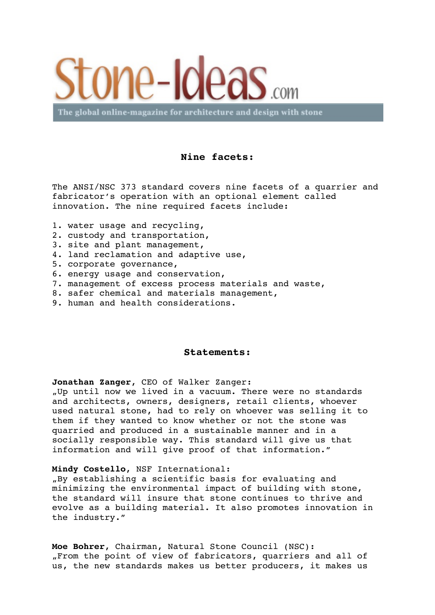

The global online-magazine for architecture and design with stone

## **Nine facets:**

The ANSI/NSC 373 standard covers nine facets of a quarrier and fabricator's operation with an optional element called innovation. The nine required facets include:

- 1. water usage and recycling,
- 2. custody and transportation,
- 3. site and plant management,
- 4. land reclamation and adaptive use,
- 5. corporate governance,
- 6. energy usage and conservation,
- 7. management of excess process materials and waste,
- 8. safer chemical and materials management,
- 9. human and health considerations.

## **Statements:**

**Jonathan Zanger**, CEO of Walker Zanger:

"Up until now we lived in a vacuum. There were no standards and architects, owners, designers, retail clients, whoever used natural stone, had to rely on whoever was selling it to them if they wanted to know whether or not the stone was quarried and produced in a sustainable manner and in a socially responsible way. This standard will give us that information and will give proof of that information."

## **Mindy Costello**, NSF International:

"By establishing a scientific basis for evaluating and minimizing the environmental impact of building with stone, the standard will insure that stone continues to thrive and evolve as a building material. It also promotes innovation in the industry."

**Moe Bohrer**, Chairman, Natural Stone Council (NSC): "From the point of view of fabricators, quarriers and all of us, the new standards makes us better producers, it makes us